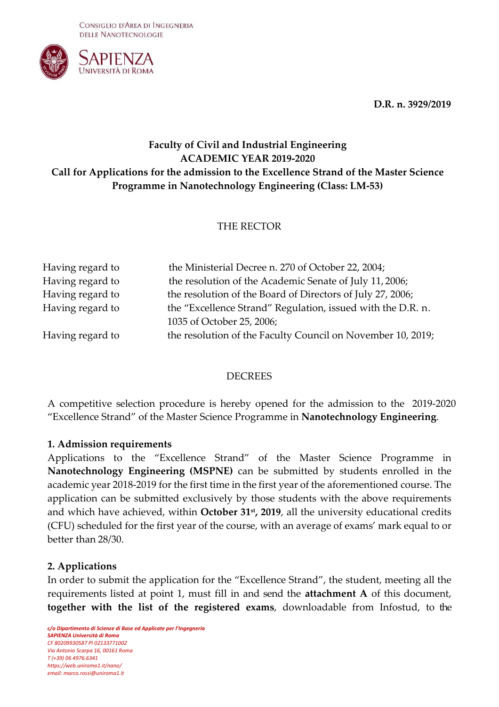CONSIGLIO D'AREA DI INGEGNERIA DELLE NANOTECNOLOGIE



**D.R. n. 3929/2019**

# **Faculty of Civil and Industrial Engineering ACADEMIC YEAR 2019-2020 Call for Applications for the admission to the Excellence Strand of the Master Science Programme in Nanotechnology Engineering (Class: LM-53)**

## THE RECTOR

| Having regard to | the Ministerial Decree n. 270 of October 22, 2004;          |
|------------------|-------------------------------------------------------------|
| Having regard to | the resolution of the Academic Senate of July 11, 2006;     |
| Having regard to | the resolution of the Board of Directors of July 27, 2006;  |
| Having regard to | the "Excellence Strand" Regulation, issued with the D.R. n. |
|                  | 1035 of October 25, 2006;                                   |
| Having regard to | the resolution of the Faculty Council on November 10, 2019; |

### DECREES

A competitive selection procedure is hereby opened for the admission to the 2019-2020 "Excellence Strand" of the Master Science Programme in **Nanotechnology Engineering**.

### **1. Admission requirements**

Applications to the "Excellence Strand" of the Master Science Programme in **Nanotechnology Engineering (MSPNE)** can be submitted by students enrolled in the academic year 2018-2019 for the first time in the first year of the aforementioned course. The application can be submitted exclusively by those students with the above requirements and which have achieved, within **October 31st, 2019**, all the university educational credits (CFU) scheduled for the first year of the course, with an average of exams' mark equal to or better than 28/30.

### **2. Applications**

In order to submit the application for the "Excellence Strand", the student, meeting all the requirements listed at point 1, must fill in and send the **attachment A** of this document, **together with the list of the registered exams**, downloadable from Infostud, to the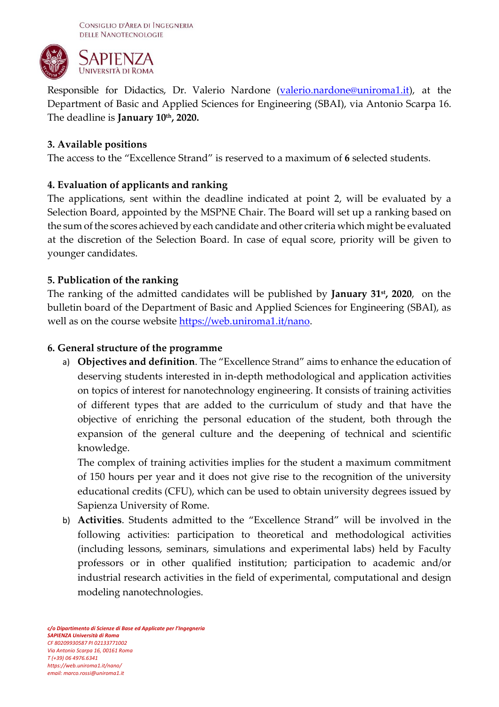

Responsible for Didactics, Dr. Valerio Nardone [\(valerio.nardone@uniroma1.it\)](mailto:valerio.nardone@uniroma1.it), at the Department of Basic and Applied Sciences for Engineering (SBAI), via Antonio Scarpa 16. The deadline is **January 10th, 2020.**

## **3. Available positions**

The access to the "Excellence Strand" is reserved to a maximum of **6** selected students.

## **4. Evaluation of applicants and ranking**

The applications, sent within the deadline indicated at point 2, will be evaluated by a Selection Board, appointed by the MSPNE Chair. The Board will set up a ranking based on the sum of the scores achieved by each candidate and other criteria which might be evaluated at the discretion of the Selection Board. In case of equal score, priority will be given to younger candidates.

## **5. Publication of the ranking**

The ranking of the admitted candidates will be published by **January 31st, 2020**, on the bulletin board of the Department of Basic and Applied Sciences for Engineering (SBAI), as well as on the course website [https://web.uniroma1.it/nano.](https://web.uniroma1.it/nano)

## **6. General structure of the programme**

a) **Objectives and definition**. The "Excellence Strand" aims to enhance the education of deserving students interested in in-depth methodological and application activities on topics of interest for nanotechnology engineering. It consists of training activities of different types that are added to the curriculum of study and that have the objective of enriching the personal education of the student, both through the expansion of the general culture and the deepening of technical and scientific knowledge.

The complex of training activities implies for the student a maximum commitment of 150 hours per year and it does not give rise to the recognition of the university educational credits (CFU), which can be used to obtain university degrees issued by Sapienza University of Rome.

b) **Activities**. Students admitted to the "Excellence Strand" will be involved in the following activities: participation to theoretical and methodological activities (including lessons, seminars, simulations and experimental labs) held by Faculty professors or in other qualified institution; participation to academic and/or industrial research activities in the field of experimental, computational and design modeling nanotechnologies.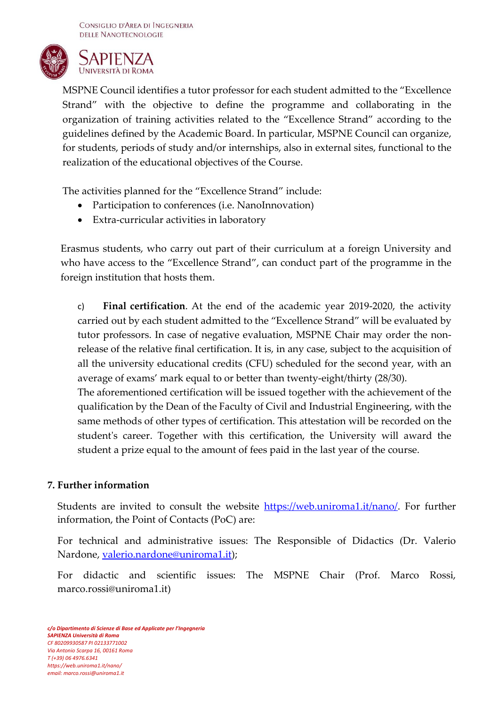CONSIGLIO D'AREA DI INGEGNERIA DELLE NANOTECNOLOGIE



MSPNE Council identifies a tutor professor for each student admitted to the "Excellence Strand" with the objective to define the programme and collaborating in the organization of training activities related to the "Excellence Strand" according to the guidelines defined by the Academic Board. In particular, MSPNE Council can organize, for students, periods of study and/or internships, also in external sites, functional to the realization of the educational objectives of the Course.

The activities planned for the "Excellence Strand" include:

- Participation to conferences (i.e. NanoInnovation)
- Extra-curricular activities in laboratory

Erasmus students, who carry out part of their curriculum at a foreign University and who have access to the "Excellence Strand", can conduct part of the programme in the foreign institution that hosts them.

c) **Final certification**. At the end of the academic year 2019-2020, the activity carried out by each student admitted to the "Excellence Strand" will be evaluated by tutor professors. In case of negative evaluation, MSPNE Chair may order the nonrelease of the relative final certification. It is, in any case, subject to the acquisition of all the university educational credits (CFU) scheduled for the second year, with an average of exams' mark equal to or better than twenty-eight/thirty (28/30).

The aforementioned certification will be issued together with the achievement of the qualification by the Dean of the Faculty of Civil and Industrial Engineering, with the same methods of other types of certification. This attestation will be recorded on the student's career. Together with this certification, the University will award the student a prize equal to the amount of fees paid in the last year of the course.

### **7. Further information**

Students are invited to consult the website [https://web.uniroma1.it/nano/.](https://web.uniroma1.it/nano/) For further information, the Point of Contacts (PoC) are:

For technical and administrative issues: The Responsible of Didactics (Dr. Valerio Nardone, [valerio.nardone@uniroma1.it\)](mailto:valerio.nardone@uniroma1.it);

For didactic and scientific issues: The MSPNE Chair (Prof. Marco Rossi, marco.rossi@uniroma1.it)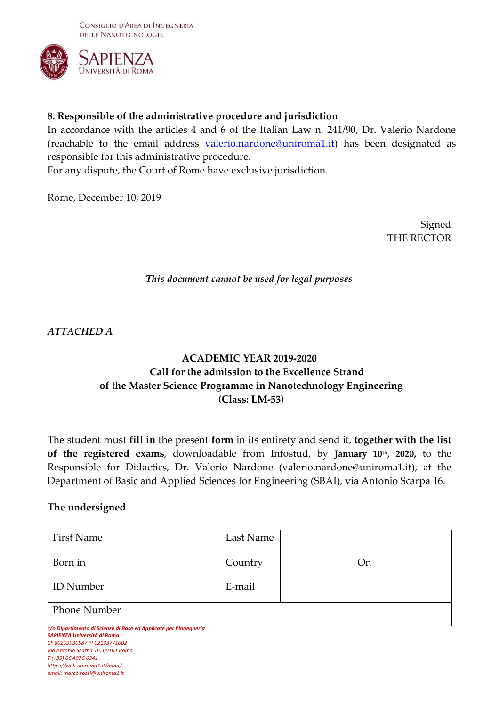

## **8. Responsible of the administrative procedure and jurisdiction**

In accordance with the articles 4 and 6 of the Italian Law n. 241/90, Dr. Valerio Nardone (reachable to the email address [valerio.nardone@uniroma1.it\)](mailto:valerio.nardone@uniroma1.it) has been designated as responsible for this administrative procedure.

For any dispute, the Court of Rome have exclusive jurisdiction.

Rome, December 10, 2019

Signed THE RECTOR

### *This document cannot be used for legal purposes*

*ATTACHED A*

# **ACADEMIC YEAR 2019-2020 Call for the admission to the Excellence Strand of the Master Science Programme in Nanotechnology Engineering (Class: LM-53)**

The student must **fill in** the present **form** in its entirety and send it, **together with the list of the registered exams**, downloadable from Infostud, by **January 10th, 2020,** to the Responsible for Didactics, Dr. Valerio Nardone [\(valerio.nardone@uniroma1.it\)](mailto:valerio.nardone@uniroma1.it), at the Department of Basic and Applied Sciences for Engineering (SBAI), via Antonio Scarpa 16.

### **The undersigned**

| First Name                                                                                                                                                                                   |                                                                   | Last Name |           |  |
|----------------------------------------------------------------------------------------------------------------------------------------------------------------------------------------------|-------------------------------------------------------------------|-----------|-----------|--|
| Born in                                                                                                                                                                                      |                                                                   | Country   | <b>On</b> |  |
| <b>ID</b> Number                                                                                                                                                                             |                                                                   | E-mail    |           |  |
| <b>Phone Number</b>                                                                                                                                                                          |                                                                   |           |           |  |
| SAPIENZA Università di Roma<br>CF 80209930587 PI 02133771002<br>Via Antonio Scarpa 16, 00161 Roma<br>T (+39) 06 4976.6341<br>https://web.uniroma1.it/nano/<br>email: marco.rossi@uniroma1.it | c/o Dipartimento di Scienze di Base ed Applicate per l'Ingegneria |           |           |  |